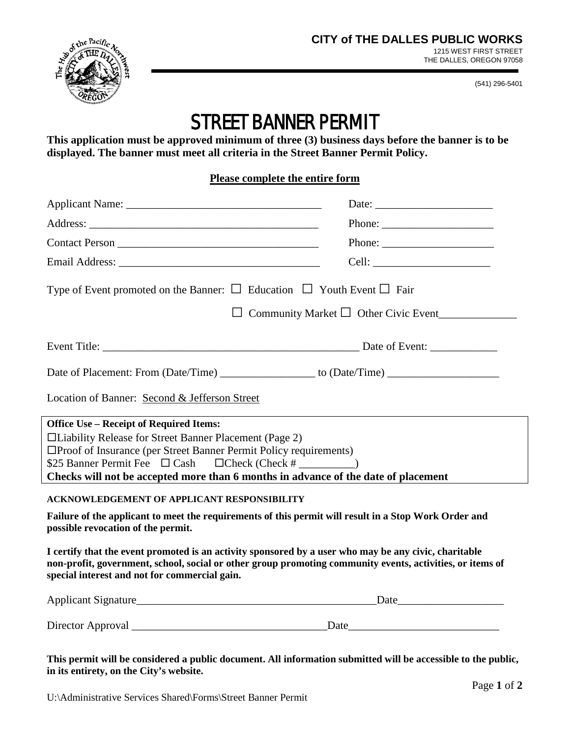

(541) 296-5401

## STREET BANNER PERMIT

**This application must be approved minimum of three (3) business days before the banner is to be displayed. The banner must meet all criteria in the Street Banner Permit Policy.**

## **Please complete the entire form**

|                                                                                                                                                                                                                                                                     | Phone:                                                                                                                                                                                                                                                                                                                                                                                                       |  |
|---------------------------------------------------------------------------------------------------------------------------------------------------------------------------------------------------------------------------------------------------------------------|--------------------------------------------------------------------------------------------------------------------------------------------------------------------------------------------------------------------------------------------------------------------------------------------------------------------------------------------------------------------------------------------------------------|--|
|                                                                                                                                                                                                                                                                     | Phone: $\frac{1}{\sqrt{1-\frac{1}{2}}\sqrt{1-\frac{1}{2}}\sqrt{1-\frac{1}{2}}\sqrt{1-\frac{1}{2}}\sqrt{1-\frac{1}{2}}\sqrt{1-\frac{1}{2}}\sqrt{1-\frac{1}{2}}\sqrt{1-\frac{1}{2}}\sqrt{1-\frac{1}{2}}\sqrt{1-\frac{1}{2}}\sqrt{1-\frac{1}{2}}\sqrt{1-\frac{1}{2}}\sqrt{1-\frac{1}{2}}\sqrt{1-\frac{1}{2}}\sqrt{1-\frac{1}{2}}\sqrt{1-\frac{1}{2}}\sqrt{1-\frac{1}{2}}\sqrt{1-\frac{1}{2}}\sqrt{1-\frac{1}{2$ |  |
|                                                                                                                                                                                                                                                                     |                                                                                                                                                                                                                                                                                                                                                                                                              |  |
| Type of Event promoted on the Banner: $\Box$ Education $\Box$ Youth Event $\Box$ Fair                                                                                                                                                                               |                                                                                                                                                                                                                                                                                                                                                                                                              |  |
| $\Box$ Community Market $\Box$ Other Civic Event                                                                                                                                                                                                                    |                                                                                                                                                                                                                                                                                                                                                                                                              |  |
|                                                                                                                                                                                                                                                                     |                                                                                                                                                                                                                                                                                                                                                                                                              |  |
|                                                                                                                                                                                                                                                                     |                                                                                                                                                                                                                                                                                                                                                                                                              |  |
| Location of Banner: Second & Jefferson Street                                                                                                                                                                                                                       |                                                                                                                                                                                                                                                                                                                                                                                                              |  |
| <b>Office Use - Receipt of Required Items:</b>                                                                                                                                                                                                                      |                                                                                                                                                                                                                                                                                                                                                                                                              |  |
| □Liability Release for Street Banner Placement (Page 2)                                                                                                                                                                                                             |                                                                                                                                                                                                                                                                                                                                                                                                              |  |
| □Proof of Insurance (per Street Banner Permit Policy requirements)                                                                                                                                                                                                  |                                                                                                                                                                                                                                                                                                                                                                                                              |  |
| \$25 Banner Permit Fee $\Box$ Cash $\Box$ Check (Check # ________)<br>Checks will not be accepted more than 6 months in advance of the date of placement                                                                                                            |                                                                                                                                                                                                                                                                                                                                                                                                              |  |
|                                                                                                                                                                                                                                                                     |                                                                                                                                                                                                                                                                                                                                                                                                              |  |
| <b>ACKNOWLEDGEMENT OF APPLICANT RESPONSIBILITY</b>                                                                                                                                                                                                                  |                                                                                                                                                                                                                                                                                                                                                                                                              |  |
| Failure of the applicant to meet the requirements of this permit will result in a Stop Work Order and<br>possible revocation of the permit.                                                                                                                         |                                                                                                                                                                                                                                                                                                                                                                                                              |  |
| I certify that the event promoted is an activity sponsored by a user who may be any civic, charitable<br>non-profit, government, school, social or other group promoting community events, activities, or items of<br>special interest and not for commercial gain. |                                                                                                                                                                                                                                                                                                                                                                                                              |  |
|                                                                                                                                                                                                                                                                     |                                                                                                                                                                                                                                                                                                                                                                                                              |  |
|                                                                                                                                                                                                                                                                     |                                                                                                                                                                                                                                                                                                                                                                                                              |  |
|                                                                                                                                                                                                                                                                     |                                                                                                                                                                                                                                                                                                                                                                                                              |  |

**This permit will be considered a public document. All information submitted will be accessible to the public, in its entirety, on the City's website.**